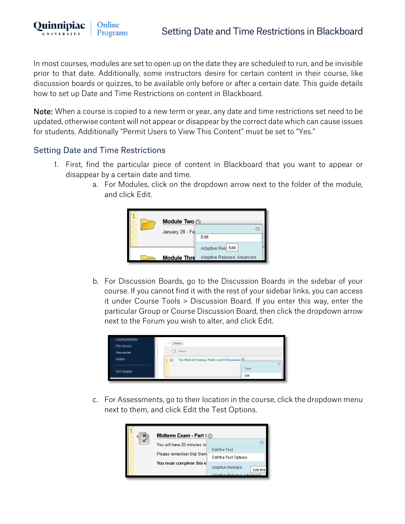In most courses, modules are set to open up on the date they are scheduled to run, and be invisible prior to that date. Additionally, some instructors desire for certain content in their course, like discussion boards or quizzes, to be available only before or after a certain date. This guide details how to set up Date and Time Restrictions on content in Blackboard.

Note: When a course is copied to a new term or year, any date and time restrictions set need to be updated, otherwise content will not appear or disappear by the correct date which can cause issues for students. Additionally "Permit Users to View This Content" must be set to "Yes."

## Setting Date and Time Restrictions

Online

**Programs** 

Ouinnipiac

**UNIVERSITY** 

- 1. First, find the particular piece of content in Blackboard that you want to appear or disappear by a certain date and time.
	- a. For Modules, click on the dropdown arrow next to the folder of the module, and click Edit.



b. For Discussion Boards, go to the Discussion Boards in the sidebar of your course. If you cannot find it with the rest of your sidebar links, you can access it under Course Tools > Discussion Board. If you enter this way, enter the particular Group or Course Discussion Board, then click the dropdown arrow next to the Forum you wish to alter, and click Edit.

|                    | Delete<br>                                          |  |
|--------------------|-----------------------------------------------------|--|
| <b>Discussions</b> | Forum                                               |  |
|                    | The Birth of Cinema, Parts I and II Discussion<br>☑ |  |
|                    | Open                                                |  |
|                    | Edit                                                |  |

c. For Assessments, go to their location in the course, click the dropdown menu next to them, and click Edit the Test Options.